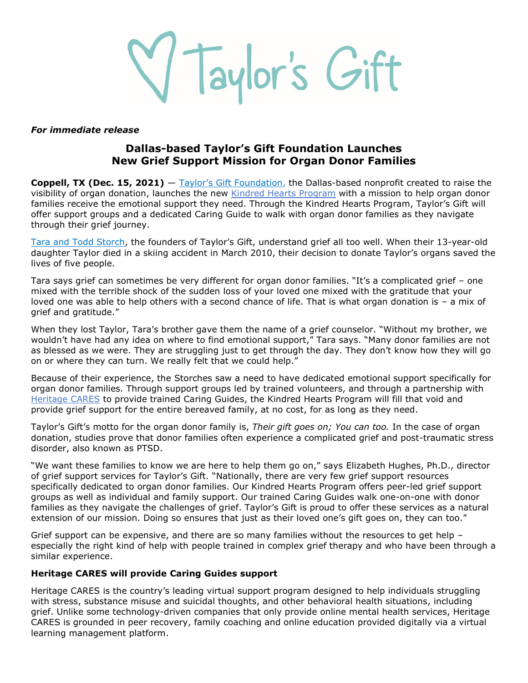V Taylor's Gift

#### *For immediate release*

# **Dallas-based Taylor's Gift Foundation Launches New Grief Support Mission for Organ Donor Families**

**Coppell, TX (Dec. 15, 2021)** — Taylor's Gift [Foundation,](https://bit.ly/3IhhGBE) the Dallas-based nonprofit created to raise the visibility of organ donation, launches the new [Kindred Hearts](https://bit.ly/3DIVNHX) Program with a mission to help organ donor families receive the emotional support they need. Through the Kindred Hearts Program, Taylor's Gift will offer support groups and a dedicated Caring Guide to walk with organ donor families as they navigate through their grief journey.

[Tara and Todd Storch,](https://bit.ly/3m40TbQ) the founders of Taylor's Gift, understand grief all too well. When their 13-year-old daughter Taylor died in a skiing accident in March 2010, their decision to donate Taylor's organs saved the lives of five people.

Tara says grief can sometimes be very different for organ donor families. "It's a complicated grief – one mixed with the terrible shock of the sudden loss of your loved one mixed with the gratitude that your loved one was able to help others with a second chance of life. That is what organ donation is – a mix of grief and gratitude."

When they lost Taylor, Tara's brother gave them the name of a grief counselor. "Without my brother, we wouldn't have had any idea on where to find emotional support," Tara says. "Many donor families are not as blessed as we were. They are struggling just to get through the day. They don't know how they will go on or where they can turn. We really felt that we could help."

Because of their experience, the Storches saw a need to have dedicated emotional support specifically for organ donor families. Through support groups led by trained volunteers, and through a partnership with [Heritage CARES](https://bit.ly/3xR57bi) to provide trained Caring Guides, the Kindred Hearts Program will fill that void and provide grief support for the entire bereaved family, at no cost, for as long as they need.

Taylor's Gift's motto for the organ donor family is, *Their gift goes on; You can too.* In the case of organ donation, studies prove that donor families often experience a complicated grief and post-traumatic stress disorder, also known as PTSD.

"We want these families to know we are here to help them go on," says Elizabeth Hughes, Ph.D., director of grief support services for Taylor's Gift. "Nationally, there are very few grief support resources specifically dedicated to organ donor families. Our Kindred Hearts Program offers peer-led grief support groups as well as individual and family support. Our trained Caring Guides walk one-on-one with donor families as they navigate the challenges of grief. Taylor's Gift is proud to offer these services as a natural extension of our mission. Doing so ensures that just as their loved one's gift goes on, they can too."

Grief support can be expensive, and there are so many families without the resources to get help especially the right kind of help with people trained in complex grief therapy and who have been through a similar experience.

### **Heritage CARES will provide Caring Guides support**

Heritage CARES is the country's leading virtual support program designed to help individuals struggling with stress, substance misuse and suicidal thoughts, and other behavioral health situations, including grief. Unlike some technology-driven companies that only provide online mental health services, Heritage CARES is grounded in peer recovery, family coaching and online education provided digitally via a virtual learning management platform.